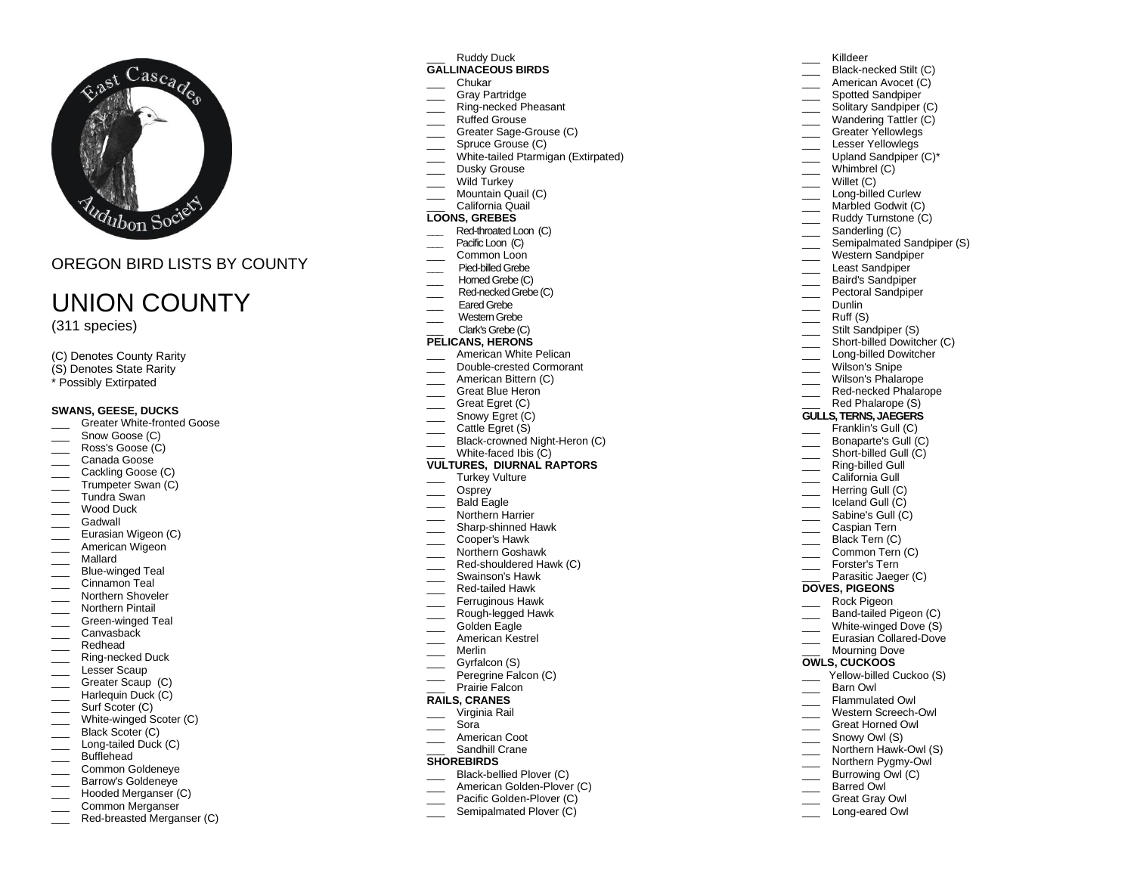

# OREGON BIRD LISTS BY COUNTY

# UNION COUNTY

(311 species)

- (C) Denotes County Rarity
- (S) Denotes State Rarity
- \* Possibly Extirpated

## **SWANS, GEESE, DUCKS**

- Greater White-fronted Goose
- Snow Goose (C)
- Ross's Goose (C)
- Canada Goose
- Cackling Goose (C)
- \_\_\_ Trumpeter Swan (C)
- \_\_\_ Tundra Swan
- Wood Duck
- **Gadwall**
- Eurasian Wigeon (C)
- \_\_\_ American Wigeon
- \_\_\_ Mallard
- \_\_\_ Blue -winged Teal
- $\equiv$  Cinnamon Teal **Northern Shoveler**
- \_\_\_ Northern Pintail
- 
- \_\_\_ Green -winged Teal Canvasback
- \_\_\_ Redhead
- 
- \_\_\_ Ring -necked Duck Lesser Scaup
- Greater Scaup (C)
- Harlequin Duck (C)
- \_\_\_\_ Surf Scoter (C)
- \_\_\_ White -winged Scoter (C)
- Black Scoter (C)
- \_\_\_ Long -tailed Duck (C)
- Bufflehead
- \_\_\_ Common Goldeneye Barrow's Goldeneye
- 
- \_\_\_ Hooded Merganser (C) \_\_\_ Common Merganser
- \_\_\_ Red -breasted Merganser (C)

# Ruddy Duck

#### **GALLINACEOUS BIRDS**

- \_\_\_ Chukar
- Gray Partridge
- \_\_\_ Ring -necked Pheasant
- Ruffed Grouse
- \_\_\_ Greater Sage -Grouse (C)
- Spruce Grouse (C)
- \_\_\_ White-tailed Ptarmigan (Extirpated)
- \_\_\_ Dusky Grouse
- Wild Turkey
- \_\_\_ Mountain Quail (C)
- \_\_\_ California Quail

# **LOONS, GREBES**

- **\_\_\_** Red -throated Loon (C)
- Pacific Loon (C) Common Loon
- 
- **\_\_\_** Pied -billed Grebe Horned Grebe (C)
- \_\_\_ Red -necked Grebe (C)
- Eared Grebe
- \_\_\_ Western Grebe
- \_\_\_ Clark's Grebe (C)
- **PELICANS, HERONS**
- American White Pelican
- \_\_\_ Double -crested Cormorant
- American Bittern (C)
- **Example 2** Great Blue Heron
- Great Egret (C)
- Snowy Egret (C)
- Cattle Egret (S)
- \_\_\_ Black-crowned Night-Heron (C) \_\_\_ White -faced Ibis (C)
- **VULTURES, DIURNAL RAPTORS**
- Turkey Vulture
- Osprey
- \_\_\_ Bald Eagle
- Northern Harrier
- \_\_\_ Sharp -shinned Hawk
- \_\_\_ Cooper's Hawk
- \_\_\_ Northern Goshawk
- \_\_\_ Red -shouldered Hawk (C)
- \_\_\_ Swainson's Hawk
- \_\_\_ Red -tailed Hawk
- \_\_\_ Ferruginous Hawk
- \_\_\_ Rough -legged Hawk
- Golden Eagle
- American Kestrel
- \_\_\_ Merlin
- Gyrfalcon (S)
- Peregrine Falcon (C)
- Prairie Falcon

# **RAILS, CRANES**

- \_\_\_ Virginia Rail
- \_\_\_ Sora
- \_\_\_ American Coot
- Sandhill Crane

# **SHOREBIRDS**

- \_\_\_ Black -bellied Plover (C)
- \_\_\_ American Golden -Plover (C)
- \_\_\_ Pacific Golden -Plover (C)
- Semipalmated Plover (C)

# \_\_\_ Killdeer

\_\_\_ Whimbrel (C) Willet (C) \_\_\_ Long -billed Curlew \_\_\_ Marbled Godwit (C) Ruddy Turnstone (C) Sanderling (C)

 $\sqrt{2}$  Dunlin Ruff (S) Stilt Sandpiper (S) \_\_\_ Short -billed Dowitcher (C) \_\_\_ Long -billed Dowitcher Wilson's Snipe Wilson's Phalarope \_\_\_ Red -necked Phalarope Red Phalarope (S) **GULLS, TERNS, JAEGERS** Franklin's Gull (C) Bonaparte's Gull (C) \_\_\_ Short -billed Gull (C) \_\_\_ Ring -billed Gull California Gull \_\_\_ Herring Gull (C) Liceland Gull (C)<br>
Sabine's Gull (C) \_\_\_ Caspian Tern Black Tern (C) Common Tern (C) Forster's Tern Parasitic Jaeger (C)

**DOVES, PIGEONS** Rock Pigeon \_\_\_ Band -tailed Pigeon (C) \_\_\_ White -winged Dove (S) \_\_\_ Eurasian Collared -Dove Mourning Dove **OWLS, CUCKOOS**

\_\_\_ Yellow -billed Cuckoo (S) \_\_\_ Barn Owl \_\_\_ Flammulated Owl \_\_\_ Western Screech -Owl \_\_\_ Great Horned Owl \_\_\_ Snowy Owl (S) \_\_\_ Northern Hawk -Owl (S) \_\_\_ Northern Pygmy -Owl **EXECUTE:** Burrowing Owl (C) Barred Owl Great Gray Owl \_\_\_ Long -eared Owl

\_\_\_ Black -necked Stilt (C) American Avocet (C) Spotted Sandpiper Solitary Sandpiper (C) \_\_\_ Wandering Tattler (C) Greater Yellowlegs Lesser Yellowlegs Upland Sandpiper (C)\*

Semipalmated Sandpiper (S) Western Sandpiper Least Sandpiper \_\_\_ Baird's Sandpiper \_\_\_ Pectoral Sandpiper